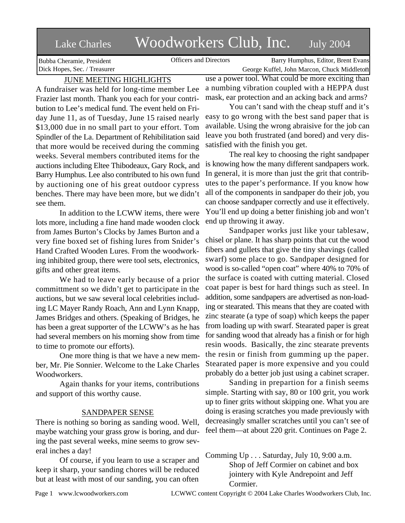# Lake Charles Woodworkers Club, Inc. July 2004

Bubba Cheramie, President Dick Hopes, Sec. / Treasurer

Officers and Directors Barry Humphus, Editor, Brent Evans George Kuffel, John Marcon, Chuck Middleton

# JUNE MEETING HIGHLIGHTS

A fundraiser was held for long-time member Lee Frazier last month. Thank you each for your contribution to Lee's medical fund. The event held on Friday June 11, as of Tuesday, June 15 raised nearly \$13,000 due in no small part to your effort. Tom Spindler of the La. Department of Rehibilitation said that more would be received during the comming weeks. Several members contributed items for the auctions including Eltee Thibodeaux, Gary Rock, and Barry Humphus. Lee also contributed to his own fund by auctioning one of his great outdoor cypress benches. There may have been more, but we didn't see them.

In addition to the LCWW items, there were lots more, including a fine hand made wooden clock from James Burton's Clocks by James Burton and a very fine boxed set of fishing lures from Snider's Hand Crafted Wooden Lures. From the woodworking inhibited group, there were tool sets, electronics, gifts and other great items.

We had to leave early because of a prior committment so we didn't get to participate in the auctions, but we saw several local celebrities including LC Mayer Randy Roach, Ann and Lynn Knapp, James Bridges and others. (Speaking of Bridges, he has been a great supporter of the LCWW's as he has had several members on his morning show from time to time to promote our efforts).

One more thing is that we have a new member, Mr. Pie Sonnier. Welcome to the Lake Charles Woodworkers.

Again thanks for your items, contributions and support of this worthy cause.

## SANDPAPER SENSE

There is nothing so boring as sanding wood. Well, maybe watching your grass grow is boring, and during the past several weeks, mine seems to grow several inches a day!

Of course, if you learn to use a scraper and keep it sharp, your sanding chores will be reduced but at least with most of our sanding, you can often

use a power tool. What could be more exciting than a numbing vibration coupled with a HEPPA dust mask, ear protection and an acking back and arms?

You can't sand with the cheap stuff and it's easy to go wrong with the best sand paper that is available. Using the wrong abraisive for the job can leave you both frustrated (and bored) and very dissatisfied with the finish you get.

The real key to choosing the right sandpaper is knowing how the many different sandpapers work. In general, it is more than just the grit that contributes to the paper's performance. If you know how all of the components in sandpaper do their job, you can choose sandpaper correctly and use it effectively. You'll end up doing a better finishing job and won't end up throwing it away.

Sandpaper works just like your tablesaw, chisel or plane. It has sharp points that cut the wood fibers and gullets that give the tiny shavings (called swarf) some place to go. Sandpaper designed for wood is so-called "open coat" where 40% to 70% of the surface is coated with cutting material. Closed coat paper is best for hard things such as steel. In addition, some sandpapers are advertised as non-loading or stearated. This means that they are coated with zinc stearate (a type of soap) which keeps the paper from loading up with swarf. Stearated paper is great for sanding wood that already has a finish or for high resin woods. Basically, the zinc stearate prevents the resin or finish from gumming up the paper. Stearated paper is more expensive and you could probably do a better job just using a cabinet scraper.

Sanding in prepartion for a finish seems simple. Starting with say, 80 or 100 grit, you work up to finer grits without skipping one. What you are doing is erasing scratches you made previously with decreasingly smaller scratches until you can't see of feel them—at about 220 grit. Continues on Page 2.

Comming Up . . . Saturday, July 10, 9:00 a.m. Shop of Jeff Cormier on cabinet and box jointery with Kyle Andrepoint and Jeff Cormier.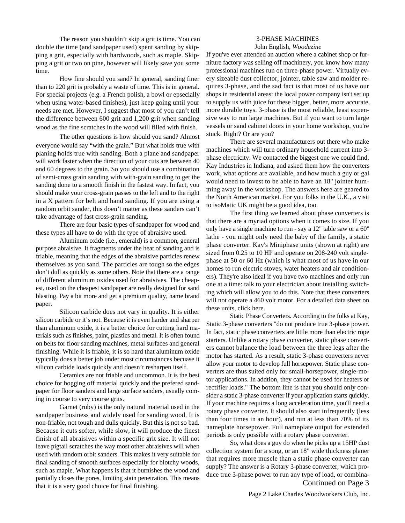The reason you shouldn't skip a grit is time. You can double the time (and sandpaper used) spent sanding by skipping a grit, especially with hardwoods, such as maple. Skipping a grit or two on pine, however will likely save you some time.

How fine should you sand? In general, sanding finer than to 220 grit is probably a waste of time. This is in general. For special projects (e.g. a French polish, a bowl or epsecially when using water-based finishes), just keep going until your needs are met. However, I suggest that most of you can't tell the difference between 600 grit and 1,200 grit when sanding wood as the fine scratches in the wood will filled with finish.

The other questions is how should you sand? Almost everyone would say "with the grain." But what holds true with planing holds true with sanding. Both a plane and sandpaper will work faster when the direction of your cuts are between 40 and 60 degrees to the grain. So you should use a combination of semi-cross grain sanding with with-grain sanding to get the sanding done to a smooth finish in the fastest way. In fact, you should make your cross-grain passes to the left and to the right in a X pattern for belt and hand sanding. If you are using a random orbit sander, this doen't matter as these sanders can't take advantage of fast cross-grain sanding.

There are four basic types of sandpaper for wood and these types all have to do with the type of abraisive used.

Aluminum oxide (i.e., emerald) is a common, general purpose abraisive. It fragments under the heat of sanding and is friable, meaning that the edges of the abraisive particles renew themselves as you sand. The particles are tough so the edges don't dull as quickly as some others. Note that there are a range of different aluminum oxides used for abraisives. The cheapest, used on the cheapest sandpaper are really designed for sand blasting. Pay a bit more and get a premium quality, name brand paper.

Silicon carbide does not vary in quality. It is either silicon carbide or it's not. Because it is even harder and sharper than aluminum oxide, it is a better choice for cutting hard materials such as finishes, paint, plastics and metal. It is often found on belts for floor sanding machines, metal surfaces and general finishing. While it is friable, it is so hard that aluminum oxide typically does a better job under most circumstances becuase it silicon carbide loads quickly and doesn't resharpen itself.

Ceramics are not friable and uncommon. It is the best choice for hogging off material quickly and the prefered sandpaper for floor sanders and large surface sanders, usually coming in course to very course grits.

Garnet (ruby) is the only natural material used in the sandpaper business and widely used for sanding wood. It is non-friable, not tough and dulls quickly. But this is not so bad. Because it cuts softer, while slow, it will produce the finest finish of all abraisives within a specific grit size. It will not leave pigtail scratches the way most other abraisives will when used with random orbit sanders. This makes it very suitable for final sanding of smooth surfaces especially for blotchy woods, such as maple. What happens is that it burnishes the wood and partially closes the pores, limiting stain penetration. This means that it is a very good choice for final finishing.

### 3-PHASE MACHINES

John English, *Woodezine*

If you've ever attended an auction where a cabinet shop or furniture factory was selling off machinery, you know how many professional machines run on three-phase power. Virtually every sizeable dust collector, jointer, table saw and molder requires 3-phase, and the sad fact is that most of us have our shops in residential areas: the local power company isn't set up to supply us with juice for these bigger, better, more accurate, more durable toys. 3-phase is the most reliable, least expensive way to run large machines. But if you want to turn large vessels or sand cabinet doors in your home workshop, you're stuck. Right? Or are you?

There are several manufacturers out there who make machines which will turn ordinary household current into 3 phase electricity. We contacted the biggest one we could find, Kay Industries in Indiana, and asked them how the converters work, what options are available, and how much a guy or gal would need to invest to be able to have an 18" jointer humming away in the workshop. The answers here are geared to the North American market. For you folks in the U.K., a visit to isoMatic UK might be a good idea, too.

The first thing we learned about phase converters is that there are a myriad options when it comes to size. If you only have a single machine to run - say a 12" table saw or a 60" lathe - you might only need the baby of the family, a static phase converter. Kay's Miniphase units (shown at right) are sized from 0.25 to 10 HP and operate on 208-240 volt singlephase at 50 or 60 Hz (which is what most of us have in our homes to run electric stoves, water heaters and air conditioners). They're also ideal if you have two machines and only run one at a time: talk to your electrician about installing switching which will allow you to do this. Note that these converters will not operate a 460 volt motor. For a detailed data sheet on these units, click here.

Static Phase Converters. According to the folks at Kay, Static 3-phase converters "do not produce true 3-phase power. In fact, static phase converters are little more than electric rope starters. Unlike a rotary phase converter, static phase converters cannot balance the load between the three legs after the motor has started. As a result, static 3-phase converters never allow your motor to develop full horsepower. Static phase converters are thus suited only for small-horsepower, single-motor applications. In addtion, they cannot be used for heaters or rectifier loads." The bottom line is that you should only consider a static 3-phase converter if your application starts quickly. If your machine requires a long acceleration time, you'll need a rotary phase converter. It should also start infrequently (less than four times in an hour), and run at less than 70% of its nameplate horsepower. Full nameplate output for extended periods is only possible with a rotary phase converter.

So, what does a guy do when he picks up a 15HP dust collection system for a song, or an 18" wide thickness planer that requires more muscle than a static phase converter can supply? The answer is a Rotary 3-phase converter, which produce true 3-phase power to run any type of load, or combina-Continued on Page 3